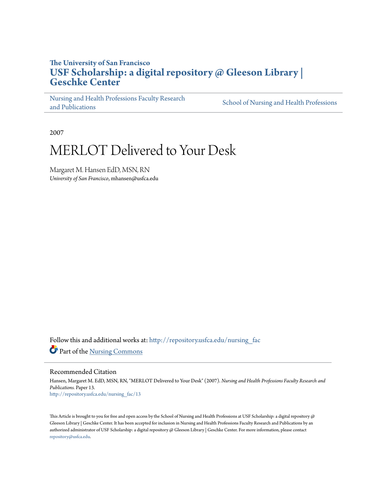## **The University of San Francisco [USF Scholarship: a digital repository @ Gleeson Library |](http://repository.usfca.edu?utm_source=repository.usfca.edu%2Fnursing_fac%2F13&utm_medium=PDF&utm_campaign=PDFCoverPages) [Geschke Center](http://repository.usfca.edu?utm_source=repository.usfca.edu%2Fnursing_fac%2F13&utm_medium=PDF&utm_campaign=PDFCoverPages)**

[Nursing and Health Professions Faculty Research](http://repository.usfca.edu/nursing_fac?utm_source=repository.usfca.edu%2Fnursing_fac%2F13&utm_medium=PDF&utm_campaign=PDFCoverPages) [and Publications](http://repository.usfca.edu/nursing_fac?utm_source=repository.usfca.edu%2Fnursing_fac%2F13&utm_medium=PDF&utm_campaign=PDFCoverPages)

[School of Nursing and Health Professions](http://repository.usfca.edu/nursing?utm_source=repository.usfca.edu%2Fnursing_fac%2F13&utm_medium=PDF&utm_campaign=PDFCoverPages)

2007

# MERLOT Delivered to Your Desk

Margaret M. Hansen EdD, MSN, RN *University of San Francisco*, mhansen@usfca.edu

Follow this and additional works at: [http://repository.usfca.edu/nursing\\_fac](http://repository.usfca.edu/nursing_fac?utm_source=repository.usfca.edu%2Fnursing_fac%2F13&utm_medium=PDF&utm_campaign=PDFCoverPages) Part of the [Nursing Commons](http://network.bepress.com/hgg/discipline/718?utm_source=repository.usfca.edu%2Fnursing_fac%2F13&utm_medium=PDF&utm_campaign=PDFCoverPages)

Recommended Citation

Hansen, Margaret M. EdD, MSN, RN, "MERLOT Delivered to Your Desk" (2007). *Nursing and Health Professions Faculty Research and Publications.* Paper 13. [http://repository.usfca.edu/nursing\\_fac/13](http://repository.usfca.edu/nursing_fac/13?utm_source=repository.usfca.edu%2Fnursing_fac%2F13&utm_medium=PDF&utm_campaign=PDFCoverPages)

This Article is brought to you for free and open access by the School of Nursing and Health Professions at USF Scholarship: a digital repository @ Gleeson Library | Geschke Center. It has been accepted for inclusion in Nursing and Health Professions Faculty Research and Publications by an authorized administrator of USF Scholarship: a digital repository @ Gleeson Library | Geschke Center. For more information, please contact [repository@usfca.edu](mailto:repository@usfca.edu).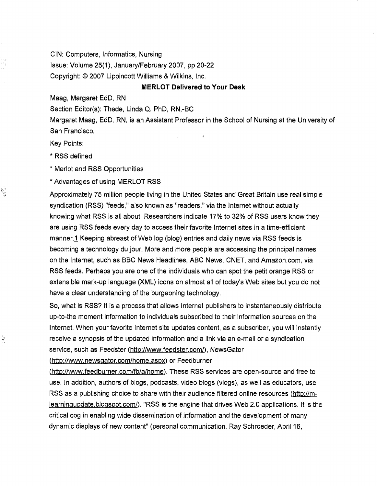CIN: Computers, Informatics, Nursing

Issue: Volume 25(1), January/February 2007, pp 20-22

Copyright: © 2007 Lippincott Williams & Wilkins, Inc.

#### **MERLOT Delivered to Your Desk**

Maag, Margaret EdD, RN

Section Editor(s): Thede, Linda Q. PhD, RN,-BC

Margaret Maag, EdD, RN, is an Assistant Professor in the School of Nursing at the University of San Francisco.

Key Points:

\* RSS defined

\* Merlot and RSS Opportunities

\*Advantages of using MERLOT RSS

Approximately 75 million people living in the United States and Great Britain use real simple syndication (RSS) "feeds," also known as "readers," via the Internet without actually knowing what RSS is all about. Researchers indicate 17% to 32% of RSS users know they are using RSS feeds every day to access their favorite Internet sites in a time-efficient manner.1 Keeping abreast of Web log (blog) entries and daily news via RSS feeds is becoming a technology du jour. More and more people are accessing the principal names on the Internet, such as BBC News Headlines, ABC News, CNET, and Amazon. com, via RSS feeds. Perhaps you are one of the individuals who can spot the petit orange RSS or extensible mark-up language (XML) icons on almost all of today's Web sites but you do not have a clear understanding of the burgeoning technology.

So, what is RSS? It is a process that allows Internet publishers to instantaneously distribute up-to-the moment information to individuals subscribed to their information sources on the Internet. When your favorite Internet site updates content, as a subscriber, you will instantly receive a synopsis of the updated information and a link via an e-mail or a syndication service, such as Feedster (http://www.feedster.com/), NewsGator

(http://www.newsgator.com/home.aspx) or Feedburner

(http://www.feedburner.com/fb/a/home). These RSS services are open-source and free to use. In addition, authors of blogs, podcasts, video blogs (vlogs), as well as educators, use RSS as a publishing choice to share with their audience filtered online resources (http://mlearningupdate.blogspot.com/). "RSS is the engine that drives Web 2.0 applications. It is the critical cog in enabling wide dissemination of information and the development of many dynamic displays of new content" (personal communication, Ray Schroeder, April 16,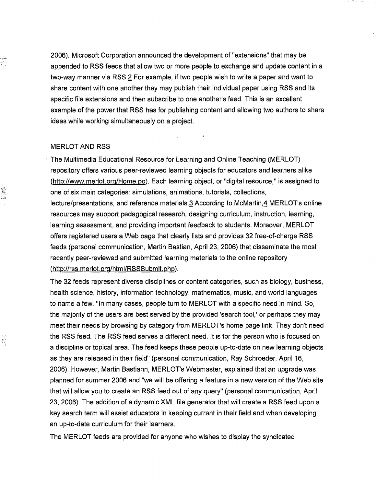2006). Microsoft Corporation announced the development of "extensions" that may be appended to RSS feeds that allow two or more people to exchange and update content in a two-way manner via RSS.2 For example, if two people wish to write a paper and want to share content with one another they may publish their individual paper using RSS and its specific file extensions and then subscribe to one another's feed. This is an excellent example of the power that RSS has for publishing content and allowing two authors to share ideas while working simultaneously on a project.

 $\mathcal{L} = \mathcal{L}$ 

 $\bar{\nu}$ 

#### MERLOT AND RSS

83

· The Multimedia Educational Resource for Learning and Online Teaching (MERLOT) repository offers various peer-reviewed learning objects for educators and learners alike (http://www.merlot.org/Home.po). Each learning object, or "digital resource," is assigned to one of six main categories: simulations, animations, tutorials, collections, lecture/presentations, and reference materials. 3 According to McMartin, 4 MERLOT's online resources may support pedagogical research, designing curriculum, instruction, learning, learning assessment, and providing important feedback to students. Moreover, MERLOT offers registered users a Web page that clearly lists and provides 32 free-of-charge RSS feeds (personal communication, Martin Bastian, April 23, 2006) that disseminate the most recently peer-reviewed and submitted learning materials to the online repository (http://rss.merlot.org/htmi/RSSSubmit.php).

The 32 feeds represent diverse disciplines or content categories, such as biology, business, health science, history, information technology, mathematics, music, and world languages, to name a few. "In many cases, people turn to MERLOT with a specific need in mind. So, the majority of the users are best served by the provided 'search tool,' or perhaps they may meet their needs by browsing by category from MERLOT's home page link. They don't need the RSS feed. The RSS feed serves a different need. It is for the person who is focused on a discipline or topical area. The feed keeps these people up-to-date on new learning objects as they are released in their field" {personal communication, Ray Schroeder, April 16, 2006). However, Martin Bastiann, MERLOT's Webmaster, explained that an upgrade was planned for summer 2006 and "we will be offering a feature in a new version of the Web site that will allow you to create an RSS feed out of any query" {personal communication, April 23, 2006). The addition of a dynamic XML file generator that will create a RSS feed upon a key search term will assist educators in keeping current in their field and when developing an up-to-date curriculum for their learners.

The MERLOT feeds are provided for anyone who wishes to display the syndicated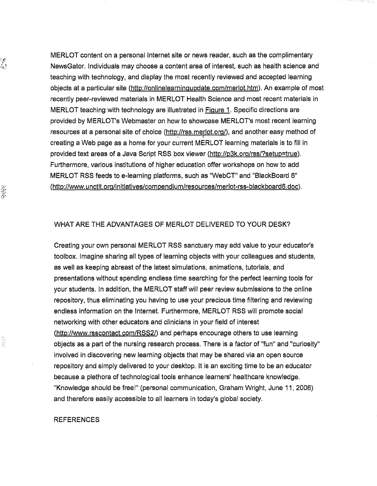MERLOT content on a personal Internet site or news reader, such as the complimentary NewsGator. Individuals may choose a content area of interest, such as health science and teaching with technology, and display the most recently reviewed and accepted learning objects at a particular site (http://onlinelearningupdate.com/merlot.htm). An example of most recently peer-reviewed materials in MERLOT Health Science and most recent materials in MERLOT teaching with technology are illustrated in Figure 1. Specific directions are provided by MERLOT's Webmaster on how to showcase MERLOT's most recent learning resources at a personal site of choice (http://rss.merlot.org/), and another easy method of  $\overline{\phantom{a}}$ creating a Web page as a home for your current MERLOT learning materials is to fill in provided text areas of a Java Script RSS box viewer (http://p3k.org/rss/?setup=true). Furthermore, various institutions of higher education offer workshops on how to add MERLOT RSS feeds to e-learning platforms, such as "WebCT'' and "BlackBoard 6" (http://www.unctlt.org/initiatives/compendium/resources/merlot-rss-blackboard6.doc).

### WHAT ARE THE ADVANTAGES OF MERLOT DELIVERED TO YOUR DESK?

Creating your own personal MERLOT RSS sanctuary may add value to your educator's toolbox. Imagine sharing all types of learning objects with your colleagues and students, as well as keeping abreast of the latest simulations, animations, tutorials, and presentations without spending endless time searching for the perfect learning tools for your students. In addition, the MERLOT staff will peer review submissions to the online repository, thus eliminating you having to use your precious time filtering and reviewing endless information on the Internet. Furthermore, MERLOT RSS will promote social networking with other educators and clinicians in your field of interest (http://www.rsscontact.com/RSS2/) and perhaps encourage others to use learning objects as a part of the nursing research process. There is a factor of "fun" and "curiosity" involved in discovering new learning objects that may be shared via an open source repository and simply delivered to your desktop. It is an exciting time to be an educator because a plethora of technological tools enhance learners' healthcare knowledge. "Knowledge should be free!" (personal communication, Graham Wright, June 11, 2006) and therefore easily accessible to all learners in today's global society.

#### **REFERENCES**

 $\frac{1}{2}$